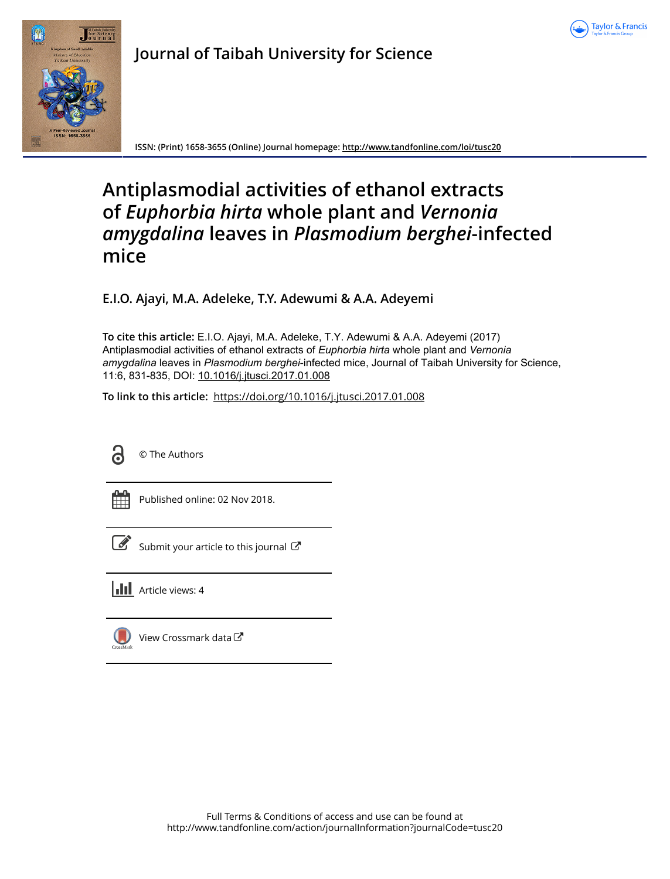



**Journal of Taibah University for Science**

**ISSN: (Print) 1658-3655 (Online) Journal homepage:<http://www.tandfonline.com/loi/tusc20>**

# **Antiplasmodial activities of ethanol extracts of** *Euphorbia hirta* **whole plant and** *Vernonia amygdalina* **leaves in** *Plasmodium berghei***-infected mice**

**E.I.O. Ajayi, M.A. Adeleke, T.Y. Adewumi & A.A. Adeyemi**

**To cite this article:** E.I.O. Ajayi, M.A. Adeleke, T.Y. Adewumi & A.A. Adeyemi (2017) Antiplasmodial activities of ethanol extracts of *Euphorbiahirta* whole plant and *Vernonia* amygdalina leaves in Plasmodium berghei-infected mice, Journal of Taibah University for Science, 11:6, 831-835, DOI: [10.1016/j.jtusci.2017.01.008](http://www.tandfonline.com/action/showCitFormats?doi=10.1016/j.jtusci.2017.01.008)

**To link to this article:** <https://doi.org/10.1016/j.jtusci.2017.01.008>



© The Authors

Published online: 02 Nov 2018.



 $\mathbb S$  [Submit your article to this journal](http://www.tandfonline.com/action/authorSubmission?journalCode=tusc20&show=instructions)  $\mathbb S$ 

**Article views: 4** 



[View Crossmark data](http://crossmark.crossref.org/dialog/?doi=10.1016/j.jtusci.2017.01.008&domain=pdf&date_stamp=2018-11-02)<sup>√</sup>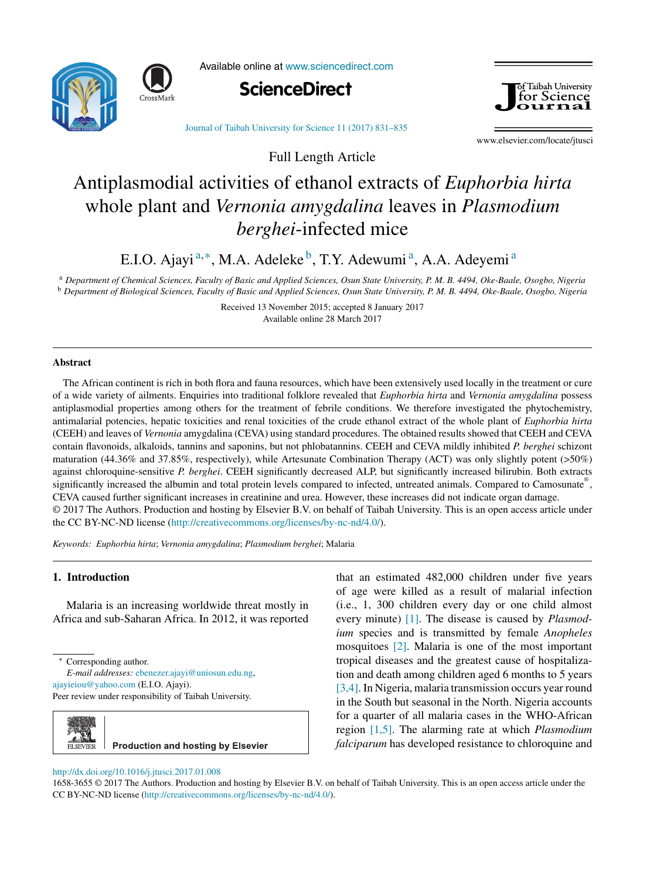



Available online at [www.sciencedirect.com](http://www.sciencedirect.com/science/journal/16583655)





Journal of Taibah [University](dx.doi.org/10.1016/j.jtusci.2017.01.008) for Science 11 (2017) 831–835

www.elsevier.com/locate/jtusci

# Antiplasmodial activities of ethanol extracts of *Euphorbia hirta* whole plant and *Vernonia amygdalina* leaves in *Plasmodium berghei*-infected mice

Full Length Article

E.I.O. Ajayi<sup>a,∗</sup>, M.A. Adeleke<sup>b</sup>, T.Y. Adewumi<sup>a</sup>, A.A. Adeyemi<sup>a</sup>

a Department of Chemical Sciences, Faculty of Basic and Applied Sciences, Osun State University, P. M. B. 4494, Oke-Baale, Osogbo, Nigeria <sup>b</sup> Department of Biological Sciences, Faculty of Basic and Applied Sciences, Osun State University, P. M. B. 4494, Oke-Baale, Osogbo, Nigeria

> Received 13 November 2015; accepted 8 January 2017 Available online 28 March 2017

## **Abstract**

The African continent is rich in both flora and fauna resources, which have been extensively used locally in the treatment or cure of a wide variety of ailments. Enquiries into traditional folklore revealed that *Euphorbia hirta* and *Vernonia amygdalina* possess antiplasmodial properties among others for the treatment of febrile conditions. We therefore investigated the phytochemistry, antimalarial potencies, hepatic toxicities and renal toxicities of the crude ethanol extract of the whole plant of *Euphorbia hirta* (CEEH) and leaves of *Vernonia* amygdalina (CEVA) using standard procedures. The obtained results showed that CEEH and CEVA contain flavonoids, alkaloids, tannins and saponins, but not phlobatannins. CEEH and CEVA mildly inhibited *P. berghei* schizont maturation (44.36% and 37.85%, respectively), while Artesunate Combination Therapy (ACT) was only slightly potent (>50%) against chloroquine-sensitive *P. berghei*. CEEH significantly decreased ALP, but significantly increased bilirubin. Both extracts significantly increased the albumin and total protein levels compared to infected, untreated animals. Compared to Camosunate®, CEVA caused further significant increases in creatinine and urea. However, these increases did not indicate organ damage. © 2017 The Authors. Production and hosting by Elsevier B.V. on behalf of Taibah University. This is an open access article under the CC BY-NC-ND license ([http://creativecommons.org/licenses/by-nc-nd/4.0/\)](http://creativecommons.org/licenses/by-nc-nd/4.0/).

*Keywords: Euphorbia hirta*; *Vernonia amygdalina*; *Plasmodium berghei*; Malaria

# **1. Introduction**

Malaria is an increasing worldwide threat mostly in Africa and sub-Saharan Africa. In 2012, it was reported

*E-mail addresses:* [ebenezer.ajayi@uniosun.edu.ng](mailto:ebenezer.ajayi@uniosun.edu.ng), [ajayieiou@yahoo.com](mailto:ajayieiou@yahoo.com) (E.I.O. Ajayi). Peer review under responsibility of Taibah University.



that an estimated 482,000 children under five years of age were killed as a result of malarial infection (i.e., 1, 300 children every day or one child almost every minute) [\[1\].](#page-5-0) The disease is caused by *Plasmodium* species and is transmitted by female *Anopheles* mosquitoes [\[2\].](#page-5-0) Malaria is one of the most important tropical diseases and the greatest cause of hospitalization and death among children aged 6 months to 5 years [\[3,4\].](#page-5-0) In Nigeria, malaria transmission occurs year round in the South but seasonal in the North. Nigeria accounts for a quarter of all malaria cases in the WHO-African region [\[1,5\].](#page-5-0) The alarming rate at which *Plasmodium falciparum* has developed resistance to chloroquine and

[http://dx.doi.org/10.1016/j.jtusci.2017.01.008](dx.doi.org/10.1016/j.jtusci.2017.01.008)

1658-3655 © 2017 The Authors. Production and hosting by Elsevier B.V. on behalf of Taibah University. This is an open access article under the CC BY-NC-ND license [\(http://creativecommons.org/licenses/by-nc-nd/4.0/\)](http://creativecommons.org/licenses/by-nc-nd/4.0/).

<sup>∗</sup> Corresponding author.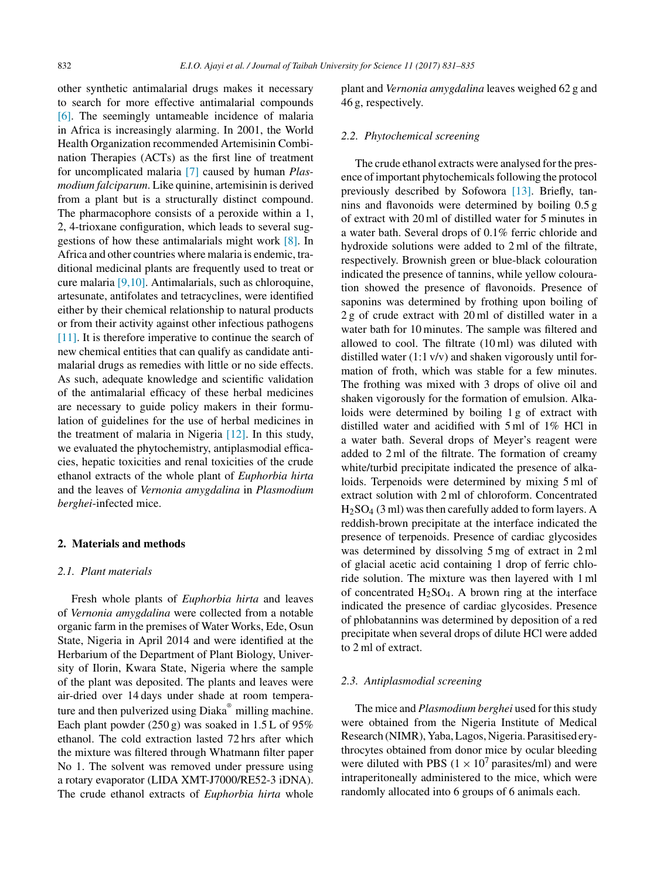other synthetic antimalarial drugs makes it necessary to search for more effective antimalarial compounds [\[6\].](#page-5-0) The seemingly untameable incidence of malaria in Africa is increasingly alarming. In 2001, the World Health Organization recommended Artemisinin Combination Therapies (ACTs) as the first line of treatment for uncomplicated malaria [\[7\]](#page-5-0) caused by human *Plasmodium falciparum*. Like quinine, artemisinin is derived from a plant but is a structurally distinct compound. The pharmacophore consists of a peroxide within a 1, 2, 4-trioxane configuration, which leads to several suggestions of how these antimalarials might work [\[8\].](#page-5-0) In Africa and other countries where malaria is endemic, traditional medicinal plants are frequently used to treat or cure malaria [\[9,10\].](#page-5-0) Antimalarials, such as chloroquine, artesunate, antifolates and tetracyclines, were identified either by their chemical relationship to natural products or from their activity against other infectious pathogens [\[11\].](#page-5-0) It is therefore imperative to continue the search of new chemical entities that can qualify as candidate antimalarial drugs as remedies with little or no side effects. As such, adequate knowledge and scientific validation of the antimalarial efficacy of these herbal medicines are necessary to guide policy makers in their formulation of guidelines for the use of herbal medicines in the treatment of malaria in Nigeria [\[12\].](#page-5-0) In this study, we evaluated the phytochemistry, antiplasmodial efficacies, hepatic toxicities and renal toxicities of the crude ethanol extracts of the whole plant of *Euphorbia hirta* and the leaves of *Vernonia amygdalina* in *Plasmodium berghei*-infected mice.

# **2. Materials and methods**

## *2.1. Plant materials*

Fresh whole plants of *Euphorbia hirta* and leaves of *Vernonia amygdalina* were collected from a notable organic farm in the premises of Water Works, Ede, Osun State, Nigeria in April 2014 and were identified at the Herbarium of the Department of Plant Biology, University of Ilorin, Kwara State, Nigeria where the sample of the plant was deposited. The plants and leaves were air-dried over 14 days under shade at room temperature and then pulverized using Diaka® milling machine. Each plant powder  $(250 g)$  was soaked in 1.5 L of 95% ethanol. The cold extraction lasted 72 hrs after which the mixture was filtered through Whatmann filter paper No 1. The solvent was removed under pressure using a rotary evaporator (LIDA XMT-J7000/RE52-3 iDNA). The crude ethanol extracts of *Euphorbia hirta* whole plant and *Vernonia amygdalina* leaves weighed 62 g and 46 g, respectively.

# *2.2. Phytochemical screening*

The crude ethanol extracts were analysed for the presence of important phytochemicals following the protocol previously described by Sofowora [\[13\].](#page-5-0) Briefly, tannins and flavonoids were determined by boiling 0.5 g of extract with 20 ml of distilled water for 5 minutes in a water bath. Several drops of 0.1% ferric chloride and hydroxide solutions were added to 2 ml of the filtrate, respectively. Brownish green or blue-black colouration indicated the presence of tannins, while yellow colouration showed the presence of flavonoids. Presence of saponins was determined by frothing upon boiling of 2 g of crude extract with 20 ml of distilled water in a water bath for 10 minutes. The sample was filtered and allowed to cool. The filtrate (10 ml) was diluted with distilled water (1:1 v/v) and shaken vigorously until formation of froth, which was stable for a few minutes. The frothing was mixed with 3 drops of olive oil and shaken vigorously for the formation of emulsion. Alkaloids were determined by boiling 1 g of extract with distilled water and acidified with 5 ml of 1% HCl in a water bath. Several drops of Meyer's reagent were added to 2 ml of the filtrate. The formation of creamy white/turbid precipitate indicated the presence of alkaloids. Terpenoids were determined by mixing 5 ml of extract solution with 2 ml of chloroform. Concentrated  $H<sub>2</sub>SO<sub>4</sub>$  (3 ml) was then carefully added to form layers. A reddish-brown precipitate at the interface indicated the presence of terpenoids. Presence of cardiac glycosides was determined by dissolving 5 mg of extract in 2 ml of glacial acetic acid containing 1 drop of ferric chloride solution. The mixture was then layered with 1 ml of concentrated  $H_2SO_4$ . A brown ring at the interface indicated the presence of cardiac glycosides. Presence of phlobatannins was determined by deposition of a red precipitate when several drops of dilute HCl were added to 2 ml of extract.

# *2.3. Antiplasmodial screening*

The mice and *Plasmodium berghei* used for this study were obtained from the Nigeria Institute of Medical Research (NIMR), Yaba,Lagos, Nigeria. Parasitised erythrocytes obtained from donor mice by ocular bleeding were diluted with PBS ( $1 \times 10^7$  parasites/ml) and were intraperitoneally administered to the mice, which were randomly allocated into 6 groups of 6 animals each.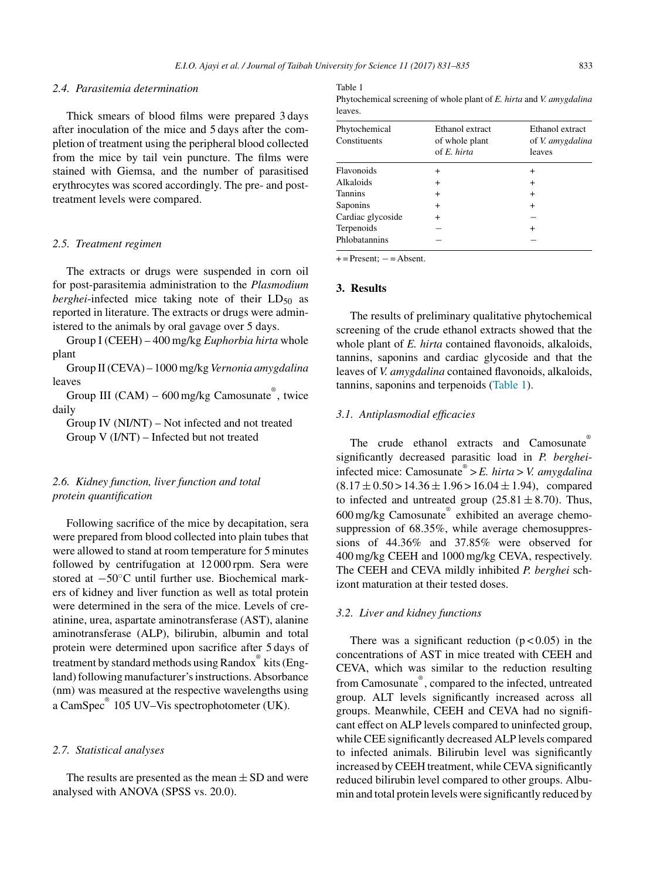## *2.4. Parasitemia determination*

Thick smears of blood films were prepared 3 days after inoculation of the mice and 5 days after the completion of treatment using the peripheral blood collected from the mice by tail vein puncture. The films were stained with Giemsa, and the number of parasitised erythrocytes was scored accordingly. The pre- and posttreatment levels were compared.

## *2.5. Treatment regimen*

The extracts or drugs were suspended in corn oil for post-parasitemia administration to the *Plasmodium berghei*-infected mice taking note of their LD<sub>50</sub> as reported in literature. The extracts or drugs were administered to the animals by oral gavage over 5 days.

Group I (CEEH) – 400 mg/kg *Euphorbia hirta* whole plant

Group II(CEVA) – 1000 mg/kg *Vernonia amygdalina* leaves

Group III (CAM) – 600 mg/kg Camosunate®, twice daily

Group IV (NI/NT) – Not infected and not treated Group V (I/NT) – Infected but not treated

# *2.6. Kidney function, liver function and total protein quantification*

Following sacrifice of the mice by decapitation, sera were prepared from blood collected into plain tubes that were allowed to stand at room temperature for 5 minutes followed by centrifugation at 12 000 rpm. Sera were stored at −50◦C until further use. Biochemical markers of kidney and liver function as well as total protein were determined in the sera of the mice. Levels of creatinine, urea, aspartate aminotransferase (AST), alanine aminotransferase (ALP), bilirubin, albumin and total protein were determined upon sacrifice after 5 days of treatment by standard methods using Randox® kits (England) following manufacturer's instructions. Absorbance (nm) was measured at the respective wavelengths using a CamSpec<sup>®</sup> 105 UV–Vis spectrophotometer (UK).

## *2.7. Statistical analyses*

The results are presented as the mean  $\pm$  SD and were analysed with ANOVA (SPSS vs. 20.0).

#### Table 1

| Phytochemical screening of whole plant of E. hirta and V. amygdalina |  |  |  |
|----------------------------------------------------------------------|--|--|--|
| leaves.                                                              |  |  |  |

| Phytochemical<br>Constituents | Ethanol extract<br>of whole plant<br>of $E$ , hirta | Ethanol extract<br>of <i>V. amygdalina</i><br>leaves |
|-------------------------------|-----------------------------------------------------|------------------------------------------------------|
| Flavonoids                    | $\ddot{}$                                           | +                                                    |
| Alkaloids                     | $\ddot{}$                                           | $^+$                                                 |
| <b>Tannins</b>                | $\ddot{}$                                           | $^+$                                                 |
| Saponins                      | $\ddot{}$                                           | $\ddot{}$                                            |
| Cardiac glycoside             | $\ddot{}$                                           |                                                      |
| Terpenoids                    |                                                     |                                                      |
| Phlobatannins                 |                                                     |                                                      |

 $+=$  Present;  $-$  = Absent.

## **3. Results**

The results of preliminary qualitative phytochemical screening of the crude ethanol extracts showed that the whole plant of *E. hirta* contained flavonoids, alkaloids, tannins, saponins and cardiac glycoside and that the leaves of *V. amygdalina* contained flavonoids, alkaloids, tannins, saponins and terpenoids (Table 1).

## *3.1. Antiplasmodial efficacies*

The crude ethanol extracts and Camosunate® significantly decreased parasitic load in *P. berghei*infected mice: Camosunate® > *E. hirta>V. amygdalina*  $(8.17 \pm 0.50 \times 14.36 \pm 1.96 \times 16.04 \pm 1.94)$ , compared to infected and untreated group  $(25.81 \pm 8.70)$ . Thus, 600 mg/kg Camosunate® exhibited an average chemosuppression of 68.35%, while average chemosuppressions of 44.36% and 37.85% were observed for 400 mg/kg CEEH and 1000 mg/kg CEVA, respectively. The CEEH and CEVA mildly inhibited *P. berghei* schizont maturation at their tested doses.

#### *3.2. Liver and kidney functions*

There was a significant reduction  $(p < 0.05)$  in the concentrations of AST in mice treated with CEEH and CEVA, which was similar to the reduction resulting from Camosunate®, compared to the infected, untreated group. ALT levels significantly increased across all groups. Meanwhile, CEEH and CEVA had no significant effect on ALP levels compared to uninfected group, while CEE significantly decreased ALP levels compared to infected animals. Bilirubin level was significantly increased by CEEH treatment, while CEVA significantly reduced bilirubin level compared to other groups. Albumin and total protein levels were significantly reduced by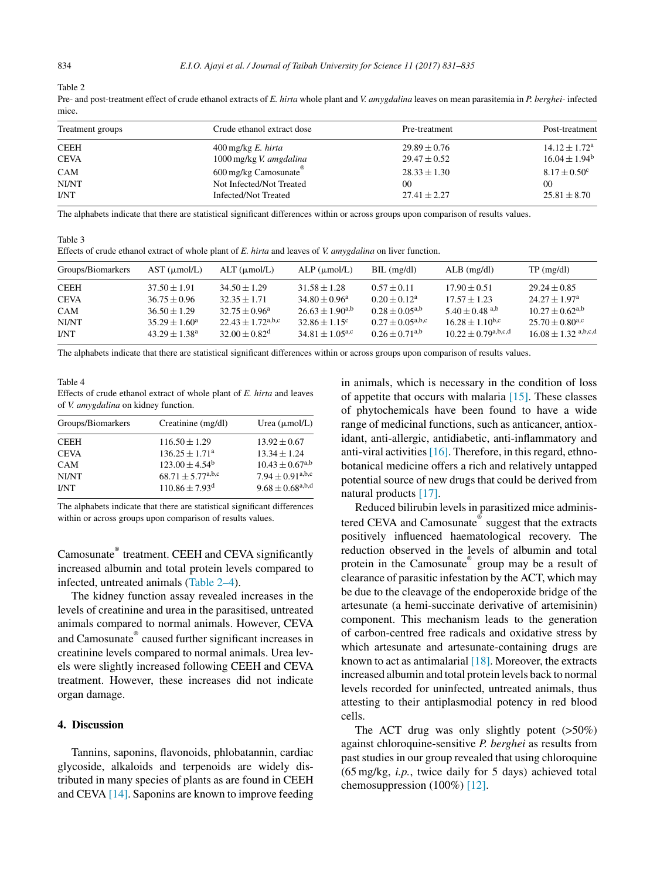Table 2

|      | Pre- and post-treatment effect of crude ethanol extracts of E. hirta whole plant and V. amygdalina leaves on mean parasitemia in P. berghei- infected |  |  |  |
|------|-------------------------------------------------------------------------------------------------------------------------------------------------------|--|--|--|
| mice |                                                                                                                                                       |  |  |  |

| Treatment groups | Crude ethanol extract dose      | Pre-treatment    | Post-treatment           |
|------------------|---------------------------------|------------------|--------------------------|
| <b>CEEH</b>      | $400 \,\mathrm{mg/kg}$ E. hirta | $29.89 \pm 0.76$ | $14.12 \pm 1.72^{\rm a}$ |
| <b>CEVA</b>      | 1000 mg/kg V. amgdalina         | $29.47 \pm 0.52$ | $16.04 \pm 1.94^b$       |
| <b>CAM</b>       | 600 mg/kg Camosunate            | $28.33 \pm 1.30$ | $8.17 \pm 0.50^{\circ}$  |
| NI/NT            | Not Infected/Not Treated        | 00               | 00                       |
| <b>I/NT</b>      | Infected/Not Treated            | $27.41 \pm 2.27$ | $25.81 \pm 8.70$         |

The alphabets indicate that there are statistical significant differences within or across groups upon comparison of results values.

Table 3

| Effects of crude ethanol extract of whole plant of E. hirta and leaves of V. amygdalina on liver function. |  |  |
|------------------------------------------------------------------------------------------------------------|--|--|
|------------------------------------------------------------------------------------------------------------|--|--|

| Groups/Biomarkers | $AST$ ( $\mu$ mol/L)     | $ALT$ ( $\mu$ mol/L)            | $ALP$ ( $\mu$ mol/L)            | $BIL$ (mg/dl)                                | $ALB$ (mg/dl)                | $TP \text{ (mg/dl)}$            |
|-------------------|--------------------------|---------------------------------|---------------------------------|----------------------------------------------|------------------------------|---------------------------------|
| <b>CEEH</b>       | $37.50 \pm 1.91$         | $34.50 \pm 1.29$                | $31.58 \pm 1.28$                | $0.57 \pm 0.11$                              | $17.90 \pm 0.51$             | $29.24 \pm 0.85$                |
| <b>CEVA</b>       | $36.75 \pm 0.96$         | $32.35 + 1.71$                  | $34.80 \pm 0.96^{\circ}$        | $0.20 \pm 0.12^a$                            | $17.57 \pm 1.23$             | $24.27 \pm 1.97^{\rm a}$        |
| CAM               | $36.50 \pm 1.29$         | $32.75 \pm 0.96^{\circ}$        | $26.63 \pm 1.90^{a,b}$          | $0.28 \pm 0.05^{a,b}$                        | $5.40 + 0.48$ <sup>a,b</sup> | $10.27 \pm 0.62$ <sup>a,b</sup> |
| NI/NT             | $35.29 \pm 1.60^{\circ}$ | $22.43 + 1.72$ <sup>a,b,c</sup> | $32.86 \pm 1.15$ <sup>c</sup>   | $0.27 \pm 0.05^{\text{a},\text{b},\text{c}}$ | $16.28 \pm 1.10^{b,c}$       | $25.70 \pm 0.80$ <sup>a,c</sup> |
| I/NT              | $43.29 \pm 1.38^{\circ}$ | $32.00 \pm 0.82^d$              | $34.81 \pm 1.05$ <sup>a,c</sup> | $0.26 \pm 0.71^{a,b}$                        | $10.22 \pm 0.79^{a,b,c,d}$   | $16.08 \pm 1.32$ a,b,c,d        |

The alphabets indicate that there are statistical significant differences within or across groups upon comparison of results values.

#### Table 4 Effects of crude ethanol extract of whole plant of *E. hirta* and leaves of *V. amygdalina* on kidney function.

| Groups/Biomarkers | Creatinine (mg/dl)                            | Urea $(\mu \text{mol/L})$                    |
|-------------------|-----------------------------------------------|----------------------------------------------|
| <b>CEEH</b>       | $116.50 \pm 1.29$                             | $13.92 \pm 0.67$                             |
| <b>CEVA</b>       | $136.25 \pm 1.71^a$                           | $13.34 \pm 1.24$                             |
| <b>CAM</b>        | $123.00 \pm 4.54^b$                           | $10.43 \pm 0.67^{a,b}$                       |
| NI/NT             | $68.71 \pm 5.77^{\text{a},\text{b},\text{c}}$ | $7.94 \pm 0.91^{\text{a},\text{b},\text{c}}$ |
| I/NT              | $110.86 \pm 7.93$ <sup>d</sup>                | $9.68\pm0.68^{\mathrm{a,b,d}}$               |

The alphabets indicate that there are statistical significant differences within or across groups upon comparison of results values.

Camosunate® treatment. CEEH and CEVA significantly increased albumin and total protein levels compared to infected, untreated animals (Table 2–4).

The kidney function assay revealed increases in the levels of creatinine and urea in the parasitised, untreated animals compared to normal animals. However, CEVA and Camosunate® caused further significant increases in creatinine levels compared to normal animals. Urea levels were slightly increased following CEEH and CEVA treatment. However, these increases did not indicate organ damage.

# **4. Discussion**

Tannins, saponins, flavonoids, phlobatannin, cardiac glycoside, alkaloids and terpenoids are widely distributed in many species of plants as are found in CEEH and CEVA [\[14\].](#page-5-0) Saponins are known to improve feeding in animals, which is necessary in the condition of loss of appetite that occurs with malaria [\[15\].](#page-5-0) These classes of phytochemicals have been found to have a wide range of medicinal functions, such as anticancer, antioxidant, anti-allergic, antidiabetic, anti-inflammatory and anti-viral activities  $[16]$ . Therefore, in this regard, ethnobotanical medicine offers a rich and relatively untapped potential source of new drugs that could be derived from natural products [\[17\].](#page-5-0)

Reduced bilirubin levels in parasitized mice administered CEVA and Camosunate<sup>®</sup> suggest that the extracts positively influenced haematological recovery. The reduction observed in the levels of albumin and total protein in the Camosunate® group may be a result of clearance of parasitic infestation by the ACT, which may be due to the cleavage of the endoperoxide bridge of the artesunate (a hemi-succinate derivative of artemisinin) component. This mechanism leads to the generation of carbon-centred free radicals and oxidative stress by which artesunate and artesunate-containing drugs are known to act as antimalarial  $[18]$ . Moreover, the extracts increased albumin and total protein levels back to normal levels recorded for uninfected, untreated animals, thus attesting to their antiplasmodial potency in red blood cells.

The ACT drug was only slightly potent (>50%) against chloroquine-sensitive *P. berghei* as results from past studies in our group revealed that using chloroquine (65 mg/kg, *i.p.*, twice daily for 5 days) achieved total chemosuppression (100%) [\[12\].](#page-5-0)